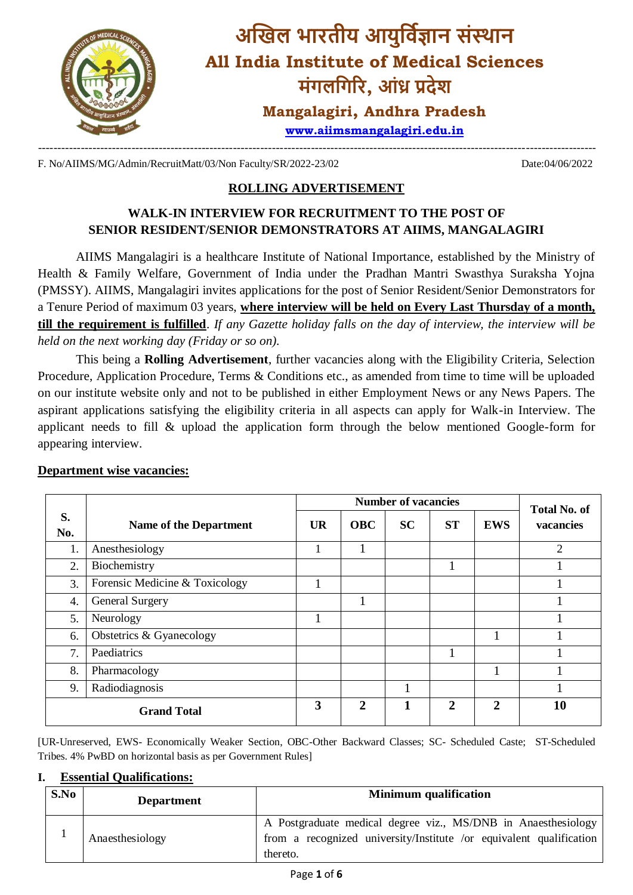

F. No/AIIMS/MG/Admin/RecruitMatt/03/Non Faculty/SR/2022-23/02 Date:04/06/2022

# **ROLLING ADVERTISEMENT**

## **WALK-IN INTERVIEW FOR RECRUITMENT TO THE POST OF SENIOR RESIDENT/SENIOR DEMONSTRATORS AT AIIMS, MANGALAGIRI**

AIIMS Mangalagiri is a healthcare Institute of National Importance, established by the Ministry of Health & Family Welfare, Government of India under the Pradhan Mantri Swasthya Suraksha Yojna (PMSSY). AIIMS, Mangalagiri invites applications for the post of Senior Resident/Senior Demonstrators for a Tenure Period of maximum 03 years, **where interview will be held on Every Last Thursday of a month, till the requirement is fulfilled**. *If any Gazette holiday falls on the day of interview, the interview will be held on the next working day (Friday or so on).*

This being a **Rolling Advertisement**, further vacancies along with the Eligibility Criteria, Selection Procedure, Application Procedure, Terms & Conditions etc., as amended from time to time will be uploaded on our institute website only and not to be published in either Employment News or any News Papers. The aspirant applications satisfying the eligibility criteria in all aspects can apply for Walk-in Interview. The applicant needs to fill & upload the application form through the below mentioned Google-form for appearing interview.

|                    | <b>Number of vacancies</b>     |           |              |           |              |                       | <b>Total No. of</b> |  |
|--------------------|--------------------------------|-----------|--------------|-----------|--------------|-----------------------|---------------------|--|
| S.<br>No.          | <b>Name of the Department</b>  | <b>UR</b> | <b>OBC</b>   | <b>SC</b> | <b>ST</b>    | <b>EWS</b>            | vacancies           |  |
| 1.                 | Anesthesiology                 |           |              |           |              |                       | 2                   |  |
| 2.                 | Biochemistry                   |           |              |           |              |                       |                     |  |
| 3.                 | Forensic Medicine & Toxicology |           |              |           |              |                       |                     |  |
| 4.                 | General Surgery                |           |              |           |              |                       |                     |  |
| 5.                 | Neurology                      |           |              |           |              |                       |                     |  |
| 6.                 | Obstetrics & Gyanecology       |           |              |           |              |                       |                     |  |
| 7.                 | Paediatrics                    |           |              |           |              |                       |                     |  |
| 8.                 | Pharmacology                   |           |              |           |              |                       |                     |  |
| 9.                 | Radiodiagnosis                 |           |              |           |              |                       |                     |  |
| <b>Grand Total</b> |                                | 3         | $\mathbf{2}$ | 1         | $\mathbf{2}$ | $\mathcal{D}_{\cdot}$ | 10                  |  |

### **Department wise vacancies:**

[UR-Unreserved, EWS- Economically Weaker Section, OBC-Other Backward Classes; SC- Scheduled Caste; ST-Scheduled Tribes. 4% PwBD on horizontal basis as per Government Rules]

### **I. Essential Qualifications:**

| S.No | <b>Department</b> | <b>Minimum</b> qualification                                                                                                                     |
|------|-------------------|--------------------------------------------------------------------------------------------------------------------------------------------------|
|      | Anaesthesiology   | A Postgraduate medical degree viz., MS/DNB in Anaesthesiology<br>from a recognized university/Institute /or equivalent qualification<br>thereto. |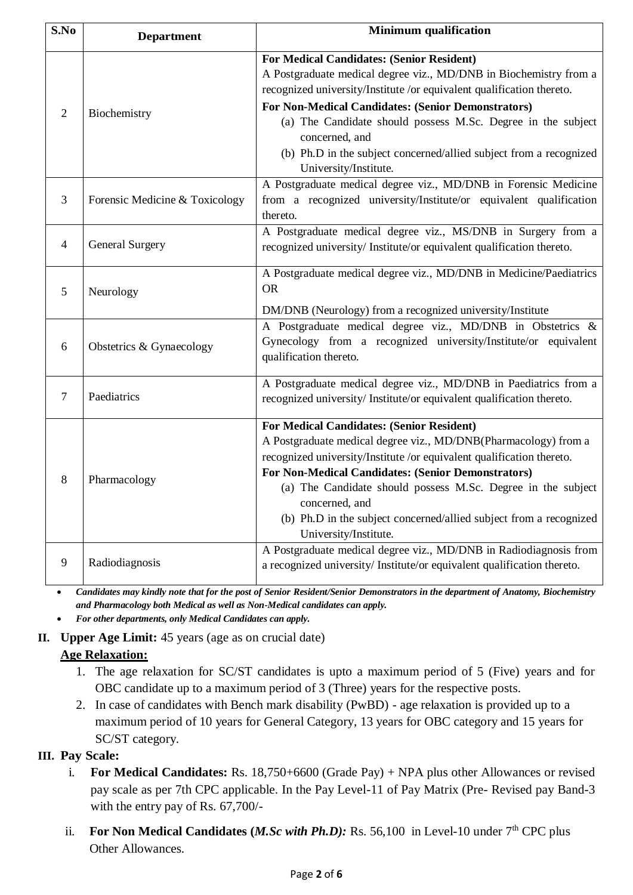| S.No           | <b>Department</b>              | <b>Minimum qualification</b>                                                                                                                                                                                                                                                                                                                                                                                                               |
|----------------|--------------------------------|--------------------------------------------------------------------------------------------------------------------------------------------------------------------------------------------------------------------------------------------------------------------------------------------------------------------------------------------------------------------------------------------------------------------------------------------|
| $\overline{2}$ | Biochemistry                   | <b>For Medical Candidates: (Senior Resident)</b><br>A Postgraduate medical degree viz., MD/DNB in Biochemistry from a<br>recognized university/Institute /or equivalent qualification thereto.<br>For Non-Medical Candidates: (Senior Demonstrators)<br>(a) The Candidate should possess M.Sc. Degree in the subject<br>concerned, and<br>(b) Ph.D in the subject concerned/allied subject from a recognized<br>University/Institute.      |
| 3              | Forensic Medicine & Toxicology | A Postgraduate medical degree viz., MD/DNB in Forensic Medicine<br>from a recognized university/Institute/or equivalent qualification<br>thereto.                                                                                                                                                                                                                                                                                          |
| $\overline{4}$ | <b>General Surgery</b>         | A Postgraduate medical degree viz., MS/DNB in Surgery from a<br>recognized university/ Institute/or equivalent qualification thereto.                                                                                                                                                                                                                                                                                                      |
| 5              | Neurology                      | A Postgraduate medical degree viz., MD/DNB in Medicine/Paediatrics<br><b>OR</b><br>DM/DNB (Neurology) from a recognized university/Institute                                                                                                                                                                                                                                                                                               |
| 6              | Obstetrics & Gynaecology       | A Postgraduate medical degree viz., MD/DNB in Obstetrics &<br>Gynecology from a recognized university/Institute/or equivalent<br>qualification thereto.                                                                                                                                                                                                                                                                                    |
| 7              | Paediatrics                    | A Postgraduate medical degree viz., MD/DNB in Paediatrics from a<br>recognized university/ Institute/or equivalent qualification thereto.                                                                                                                                                                                                                                                                                                  |
| 8              | Pharmacology                   | <b>For Medical Candidates: (Senior Resident)</b><br>A Postgraduate medical degree viz., MD/DNB(Pharmacology) from a<br>recognized university/Institute /or equivalent qualification thereto.<br><b>For Non-Medical Candidates: (Senior Demonstrators)</b><br>(a) The Candidate should possess M.Sc. Degree in the subject<br>concerned, and<br>(b) Ph.D in the subject concerned/allied subject from a recognized<br>University/Institute. |
| 9              | Radiodiagnosis                 | A Postgraduate medical degree viz., MD/DNB in Radiodiagnosis from<br>a recognized university/ Institute/or equivalent qualification thereto.                                                                                                                                                                                                                                                                                               |

 *Candidates may kindly note that for the post of Senior Resident/Senior Demonstrators in the department of Anatomy, Biochemistry and Pharmacology both Medical as well as Non-Medical candidates can apply.*

*For other departments, only Medical Candidates can apply.*

# **II. Upper Age Limit:** 45 years (age as on crucial date)

# **Age Relaxation:**

- 1. The age relaxation for SC/ST candidates is upto a maximum period of 5 (Five) years and for OBC candidate up to a maximum period of 3 (Three) years for the respective posts.
- 2. In case of candidates with Bench mark disability (PwBD) age relaxation is provided up to a maximum period of 10 years for General Category, 13 years for OBC category and 15 years for SC/ST category.

# **III. Pay Scale:**

- i. **For Medical Candidates:** Rs. 18,750+6600 (Grade Pay) + NPA plus other Allowances or revised pay scale as per 7th CPC applicable. In the Pay Level-11 of Pay Matrix (Pre- Revised pay Band-3 with the entry pay of Rs. 67,700/-
- ii. For Non Medical Candidates (*M.Sc with Ph.D*): Rs. 56,100 in Level-10 under 7<sup>th</sup> CPC plus **Other Allowances.**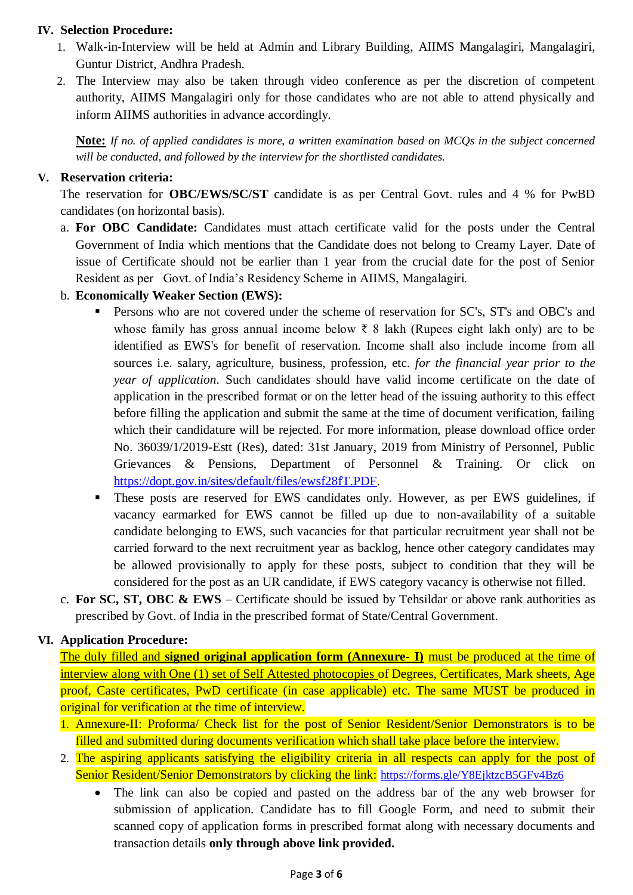### **IV. Selection Procedure:**

- 1. Walk-in-Interview will be held at Admin and Library Building, AIIMS Mangalagiri, Mangalagiri, Guntur District, Andhra Pradesh.
- 2. The Interview may also be taken through video conference as per the discretion of competent authority, AIIMS Mangalagiri only for those candidates who are not able to attend physically and inform AIIMS authorities in advance accordingly.

**Note:** *If no. of applied candidates is more, a written examination based on MCQs in the subject concerned will be conducted, and followed by the interview for the shortlisted candidates.*

#### **V. Reservation criteria:**

The reservation for **OBC/EWS/SC/ST** candidate is as per Central Govt. rules and 4 % for PwBD candidates (on horizontal basis).

- a. **For OBC Candidate:** Candidates must attach certificate valid for the posts under the Central Government of India which mentions that the Candidate does not belong to Creamy Layer. Date of issue of Certificate should not be earlier than 1 year from the crucial date for the post of Senior Resident as per Govt. of India's Residency Scheme in AIIMS, Mangalagiri.
- b. **Economically Weaker Section (EWS):**
	- Persons who are not covered under the scheme of reservation for SC's, ST's and OBC's and whose family has gross annual income below ₹ 8 lakh (Rupees eight lakh only) are to be identified as EWS's for benefit of reservation. Income shall also include income from all sources i.e. salary, agriculture, business, profession, etc. *for the financial year prior to the year of application*. Such candidates should have valid income certificate on the date of application in the prescribed format or on the letter head of the issuing authority to this effect before filling the application and submit the same at the time of document verification, failing which their candidature will be rejected. For more information, please download office order No. 36039/1/2019-Estt (Res), dated: 31st January, 2019 from Ministry of Personnel, Public Grievances & Pensions, Department of Personnel & Training. Or click on [https://dopt.gov.in/sites/default/files/ewsf28fT.PDF.](https://dopt.gov.in/sites/default/files/ewsf28fT.PDF)
	- These posts are reserved for EWS candidates only. However, as per EWS guidelines, if vacancy earmarked for EWS cannot be filled up due to non-availability of a suitable candidate belonging to EWS, such vacancies for that particular recruitment year shall not be carried forward to the next recruitment year as backlog, hence other category candidates may be allowed provisionally to apply for these posts, subject to condition that they will be considered for the post as an UR candidate, if EWS category vacancy is otherwise not filled.
- c. **For SC, ST, OBC & EWS** Certificate should be issued by Tehsildar or above rank authorities as prescribed by Govt. of India in the prescribed format of State/Central Government.

### **VI. Application Procedure:**

The duly filled and **signed original application form (Annexure- I)** must be produced at the time of interview along with One (1) set of Self Attested photocopies of Degrees, Certificates, Mark sheets, Age proof, Caste certificates, PwD certificate (in case applicable) etc. The same MUST be produced in original for verification at the time of interview.

- 1. Annexure-II: Proforma/ Check list for the post of Senior Resident/Senior Demonstrators is to be filled and submitted during documents verification which shall take place before the interview.
- 2. The aspiring applicants satisfying the eligibility criteria in all respects can apply for the post of Senior Resident/Senior Demonstrators by clicking the link: <https://forms.gle/Y8EjktzcB5GFv4Bz6>
	- The link can also be copied and pasted on the address bar of the any web browser for submission of application. Candidate has to fill Google Form, and need to submit their scanned copy of application forms in prescribed format along with necessary documents and transaction details **only through above link provided.**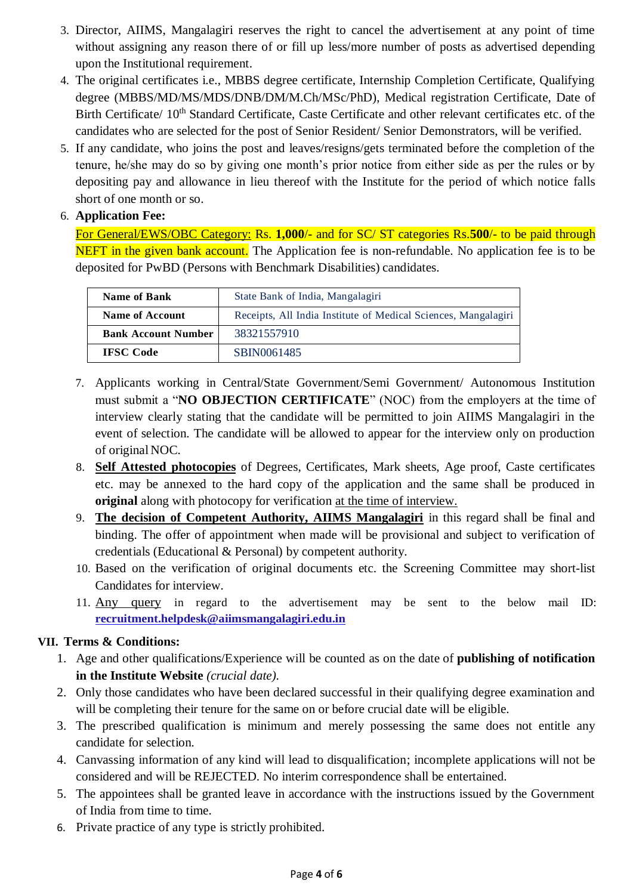- 3. Director, AIIMS, Mangalagiri reserves the right to cancel the advertisement at any point of time without assigning any reason there of or fill up less/more number of posts as advertised depending upon the Institutional requirement.
- 4. The original certificates i.e., MBBS degree certificate, Internship Completion Certificate, Qualifying degree (MBBS/MD/MS/MDS/DNB/DM/M.Ch/MSc/PhD), Medical registration Certificate, Date of Birth Certificate/ 10<sup>th</sup> Standard Certificate, Caste Certificate and other relevant certificates etc. of the candidates who are selected for the post of Senior Resident/ Senior Demonstrators, will be verified.
- 5. If any candidate, who joins the post and leaves/resigns/gets terminated before the completion of the tenure, he/she may do so by giving one month's prior notice from either side as per the rules or by depositing pay and allowance in lieu thereof with the Institute for the period of which notice falls short of one month or so.

## 6. **Application Fee:**

For General/EWS/OBC Category: Rs. **1,000**/- and for SC/ ST categories Rs.**500**/- to be paid through NEFT in the given bank account. The Application fee is non-refundable. No application fee is to be deposited for PwBD (Persons with Benchmark Disabilities) candidates.

| <b>Name of Bank</b>        | State Bank of India, Mangalagiri                               |
|----------------------------|----------------------------------------------------------------|
| <b>Name of Account</b>     | Receipts, All India Institute of Medical Sciences, Mangalagiri |
| <b>Bank Account Number</b> | 38321557910                                                    |
| <b>IFSC</b> Code           | SBIN0061485                                                    |

- 7. Applicants working in Central/State Government/Semi Government/ Autonomous Institution must submit a "**NO OBJECTION CERTIFICATE**" (NOC) from the employers at the time of interview clearly stating that the candidate will be permitted to join AIIMS Mangalagiri in the event of selection. The candidate will be allowed to appear for the interview only on production of original NOC.
- 8. **Self Attested photocopies** of Degrees, Certificates, Mark sheets, Age proof, Caste certificates etc. may be annexed to the hard copy of the application and the same shall be produced in **original** along with photocopy for verification at the time of interview.
- 9. **The decision of Competent Authority, AIIMS Mangalagiri** in this regard shall be final and binding. The offer of appointment when made will be provisional and subject to verification of credentials (Educational & Personal) by competent authority.
- 10. Based on the verification of original documents etc. the Screening Committee may short-list Candidates for interview.
- 11. Any query in regard to the advertisement may be sent to the below mail ID: **[recruitment.helpdesk@aiimsmangalagiri.edu.in](mailto:recruitment.helpdesk@aiimsmangalagiri.edu.in)**

### **VII. Terms & Conditions:**

- 1. Age and other qualifications/Experience will be counted as on the date of **publishing of notification in the Institute Website** *(crucial date).*
- 2. Only those candidates who have been declared successful in their qualifying degree examination and will be completing their tenure for the same on or before crucial date will be eligible.
- 3. The prescribed qualification is minimum and merely possessing the same does not entitle any candidate for selection.
- 4. Canvassing information of any kind will lead to disqualification; incomplete applications will not be considered and will be REJECTED. No interim correspondence shall be entertained.
- 5. The appointees shall be granted leave in accordance with the instructions issued by the Government of India from time to time.
- 6. Private practice of any type is strictly prohibited.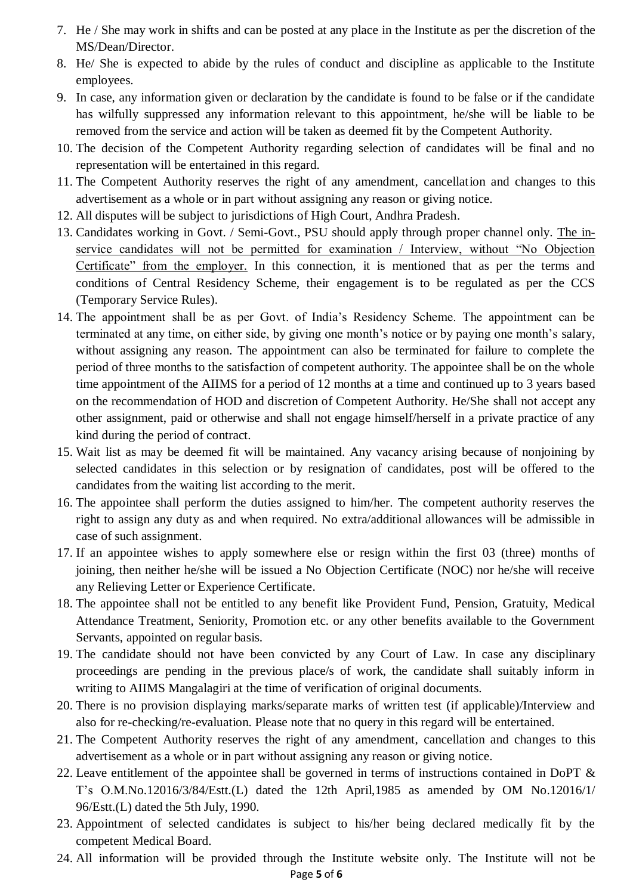- 7. He / She may work in shifts and can be posted at any place in the Institute as per the discretion of the MS/Dean/Director.
- 8. He/ She is expected to abide by the rules of conduct and discipline as applicable to the Institute employees.
- 9. In case, any information given or declaration by the candidate is found to be false or if the candidate has wilfully suppressed any information relevant to this appointment, he/she will be liable to be removed from the service and action will be taken as deemed fit by the Competent Authority.
- 10. The decision of the Competent Authority regarding selection of candidates will be final and no representation will be entertained in this regard.
- 11. The Competent Authority reserves the right of any amendment, cancellation and changes to this advertisement as a whole or in part without assigning any reason or giving notice.
- 12. All disputes will be subject to jurisdictions of High Court, Andhra Pradesh.
- 13. Candidates working in Govt. / Semi-Govt., PSU should apply through proper channel only. The inservice candidates will not be permitted for examination / Interview, without "No Objection Certificate" from the employer. In this connection, it is mentioned that as per the terms and conditions of Central Residency Scheme, their engagement is to be regulated as per the CCS (Temporary Service Rules).
- 14. The appointment shall be as per Govt. of India's Residency Scheme. The appointment can be terminated at any time, on either side, by giving one month's notice or by paying one month's salary, without assigning any reason. The appointment can also be terminated for failure to complete the period of three months to the satisfaction of competent authority. The appointee shall be on the whole time appointment of the AIIMS for a period of 12 months at a time and continued up to 3 years based on the recommendation of HOD and discretion of Competent Authority. He/She shall not accept any other assignment, paid or otherwise and shall not engage himself/herself in a private practice of any kind during the period of contract.
- 15. Wait list as may be deemed fit will be maintained. Any vacancy arising because of nonjoining by selected candidates in this selection or by resignation of candidates, post will be offered to the candidates from the waiting list according to the merit.
- 16. The appointee shall perform the duties assigned to him/her. The competent authority reserves the right to assign any duty as and when required. No extra/additional allowances will be admissible in case of such assignment.
- 17. If an appointee wishes to apply somewhere else or resign within the first 03 (three) months of joining, then neither he/she will be issued a No Objection Certificate (NOC) nor he/she will receive any Relieving Letter or Experience Certificate.
- 18. The appointee shall not be entitled to any benefit like Provident Fund, Pension, Gratuity, Medical Attendance Treatment, Seniority, Promotion etc. or any other benefits available to the Government Servants, appointed on regular basis.
- 19. The candidate should not have been convicted by any Court of Law. In case any disciplinary proceedings are pending in the previous place/s of work, the candidate shall suitably inform in writing to AIIMS Mangalagiri at the time of verification of original documents.
- 20. There is no provision displaying marks/separate marks of written test (if applicable)/Interview and also for re-checking/re-evaluation. Please note that no query in this regard will be entertained.
- 21. The Competent Authority reserves the right of any amendment, cancellation and changes to this advertisement as a whole or in part without assigning any reason or giving notice.
- 22. Leave entitlement of the appointee shall be governed in terms of instructions contained in DoPT  $\&$ T's O.M.No.12016/3/84/Estt.(L) dated the 12th April,1985 as amended by OM No.12016/1/ 96/Estt.(L) dated the 5th July, 1990.
- 23. Appointment of selected candidates is subject to his/her being declared medically fit by the competent Medical Board.
- 24. All information will be provided through the Institute website only. The Institute will not be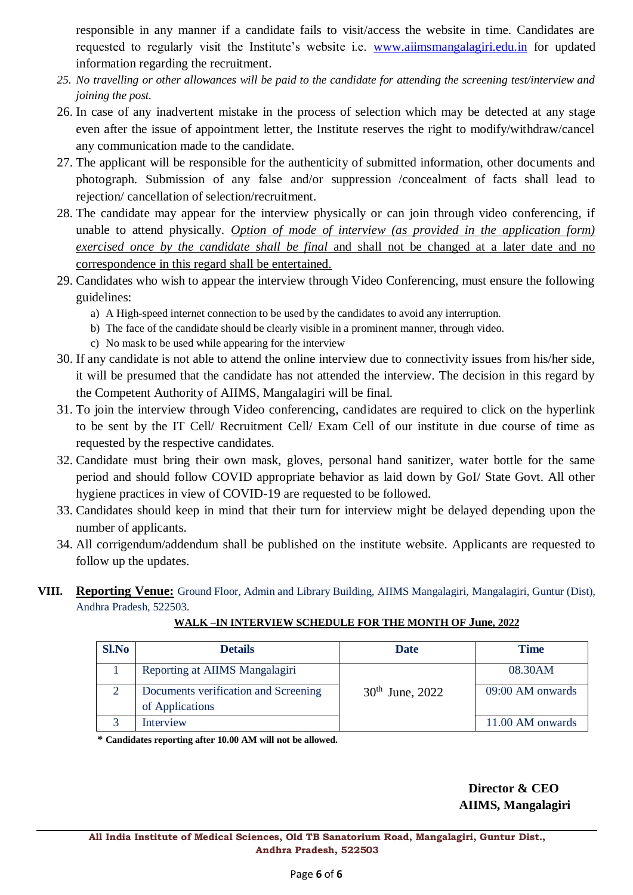responsible in any manner if a candidate fails to visit/access the website in time. Candidates are requested to regularly visit the Institute's website i.e. [www.aiimsmangalagiri.edu.in](http://www.aiimsmangalagiri.edu.in/) for updated information regarding the recruitment.

- *25. No travelling or other allowances will be paid to the candidate for attending the screening test/interview and joining the post.*
- 26. In case of any inadvertent mistake in the process of selection which may be detected at any stage even after the issue of appointment letter, the Institute reserves the right to modify/withdraw/cancel any communication made to the candidate.
- 27. The applicant will be responsible for the authenticity of submitted information, other documents and photograph. Submission of any false and/or suppression /concealment of facts shall lead to rejection/ cancellation of selection/recruitment.
- 28. The candidate may appear for the interview physically or can join through video conferencing, if unable to attend physically. *Option of mode of interview (as provided in the application form)*  exercised once by the candidate shall be final and shall not be changed at a later date and no correspondence in this regard shall be entertained.
- 29. Candidates who wish to appear the interview through Video Conferencing, must ensure the following guidelines:
	- a) A High-speed internet connection to be used by the candidates to avoid any interruption.
	- b) The face of the candidate should be clearly visible in a prominent manner, through video.
	- c) No mask to be used while appearing for the interview
- 30. If any candidate is not able to attend the online interview due to connectivity issues from his/her side, it will be presumed that the candidate has not attended the interview. The decision in this regard by the Competent Authority of AIIMS, Mangalagiri will be final.
- 31. To join the interview through Video conferencing, candidates are required to click on the hyperlink to be sent by the IT Cell/ Recruitment Cell/ Exam Cell of our institute in due course of time as requested by the respective candidates.
- 32. Candidate must bring their own mask, gloves, personal hand sanitizer, water bottle for the same period and should follow COVID appropriate behavior as laid down by GoI/ State Govt. All other hygiene practices in view of COVID-19 are requested to be followed.
- 33. Candidates should keep in mind that their turn for interview might be delayed depending upon the number of applicants.
- 34. All corrigendum/addendum shall be published on the institute website. Applicants are requested to follow up the updates.
- **VIII. Reporting Venue:** Ground Floor, Admin and Library Building, AIIMS Mangalagiri, Mangalagiri, Guntur (Dist), Andhra Pradesh, 522503.

| <b>Sl.No</b> | <b>Details</b>                                          | <b>Date</b>          | <b>Time</b>      |
|--------------|---------------------------------------------------------|----------------------|------------------|
|              | Reporting at AIIMS Mangalagiri                          |                      | 08.30AM          |
|              | Documents verification and Screening<br>of Applications | $30^{th}$ June, 2022 | 09:00 AM onwards |
| ⌒            | Interview                                               |                      | 11.00 AM onwards |

**WALK –IN INTERVIEW SCHEDULE FOR THE MONTH OF June, 2022**

 **\* Candidates reporting after 10.00 AM will not be allowed.**

# **Director & CEO AIIMS, Mangalagiri**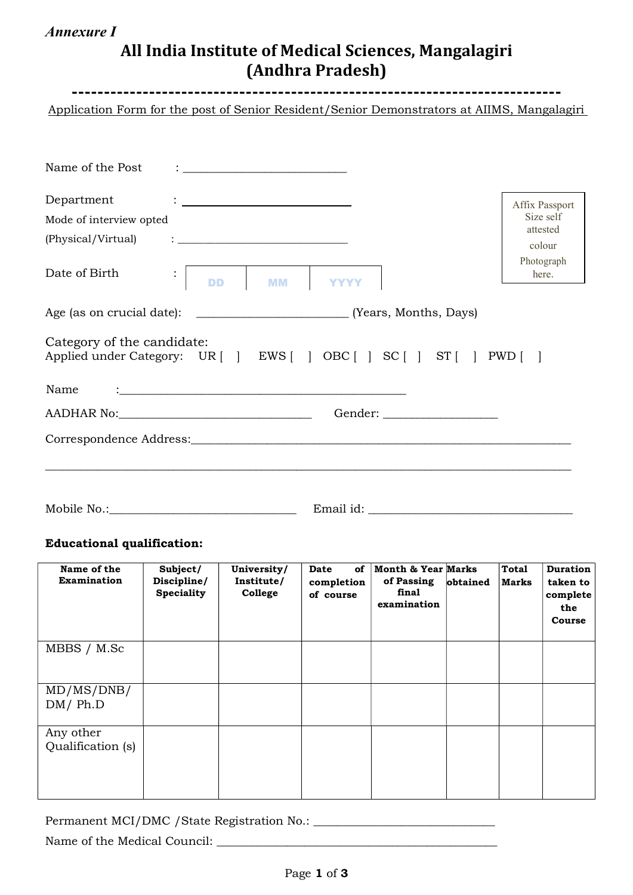# Annexure I

# All India Institute of Medical Sciences, Mangalagiri (Andhra Pradesh)

---------------------------------------------------------------------------- Application Form for the post of Senior Resident/Senior Demonstrators at AIIMS, Mangalagiri

| Name of the Post<br>$\ddot{\phantom{a}}$ , and the contract of the contract of the contract of the contract of the contract of the contract of the contract of the contract of the contract of the contract of the contract of the contract of the contrac |                       |
|------------------------------------------------------------------------------------------------------------------------------------------------------------------------------------------------------------------------------------------------------------|-----------------------|
| Department<br>$\ddot{\phantom{a}}$ . The contraction of the contract of the contract of the contract of the contract of the contract of the contract of the contract of the contract of the contract of the contract of the contract of the contract       | Affix Passport        |
| Mode of interview opted                                                                                                                                                                                                                                    | Size self<br>attested |
|                                                                                                                                                                                                                                                            | colour                |
| Date of Birth<br><b>D</b> MM YYYY<br>$\ddot{\cdot}$<br><b>DD</b>                                                                                                                                                                                           | Photograph<br>here.   |
|                                                                                                                                                                                                                                                            |                       |
| Category of the candidate:<br>Applied under Category: UR [ ] EWS [ ] OBC [ ] SC [ ] ST [ ] PWD [ ]                                                                                                                                                         |                       |
| Name<br><u> : la contrada de la contrada de la contrada de la contrada de la contrada de la contrada de la contrada de l</u>                                                                                                                               |                       |
|                                                                                                                                                                                                                                                            |                       |
|                                                                                                                                                                                                                                                            |                       |
|                                                                                                                                                                                                                                                            |                       |
|                                                                                                                                                                                                                                                            |                       |
|                                                                                                                                                                                                                                                            |                       |

Mobile No.:\_\_\_\_\_\_\_\_\_\_\_\_\_\_\_\_\_\_\_\_\_\_\_\_\_\_\_\_\_\_\_\_ Email id: \_\_\_\_\_\_\_\_\_\_\_\_\_\_\_\_\_\_\_\_\_\_\_\_\_\_\_\_\_\_\_\_\_\_\_

## Educational qualification:

| Name of the<br><b>Examination</b> | Subject/<br>Discipline/<br><b>Speciality</b> | University/<br>Institute/<br>College | of<br>Date<br>completion<br>of course | <b>Month &amp; Year Marks</b><br>of Passing<br>final<br>examination | obtained | <b>Total</b><br><b>Marks</b> | <b>Duration</b><br>taken to<br>complete<br>the<br>Course |
|-----------------------------------|----------------------------------------------|--------------------------------------|---------------------------------------|---------------------------------------------------------------------|----------|------------------------------|----------------------------------------------------------|
| MBBS / M.Sc                       |                                              |                                      |                                       |                                                                     |          |                              |                                                          |
| MD/MS/DNB/<br>DM/Ph.D             |                                              |                                      |                                       |                                                                     |          |                              |                                                          |
| Any other<br>Qualification (s)    |                                              |                                      |                                       |                                                                     |          |                              |                                                          |

Permanent MCI/DMC /State Registration No.: \_\_\_\_\_\_\_\_\_\_\_\_\_\_\_\_\_\_\_\_\_\_\_\_\_\_\_\_\_\_\_

Name of the Medical Council: \_\_\_\_\_\_\_\_\_\_\_\_\_\_\_\_\_\_\_\_\_\_\_\_\_\_\_\_\_\_\_\_\_\_\_\_\_\_\_\_\_\_\_\_\_\_\_\_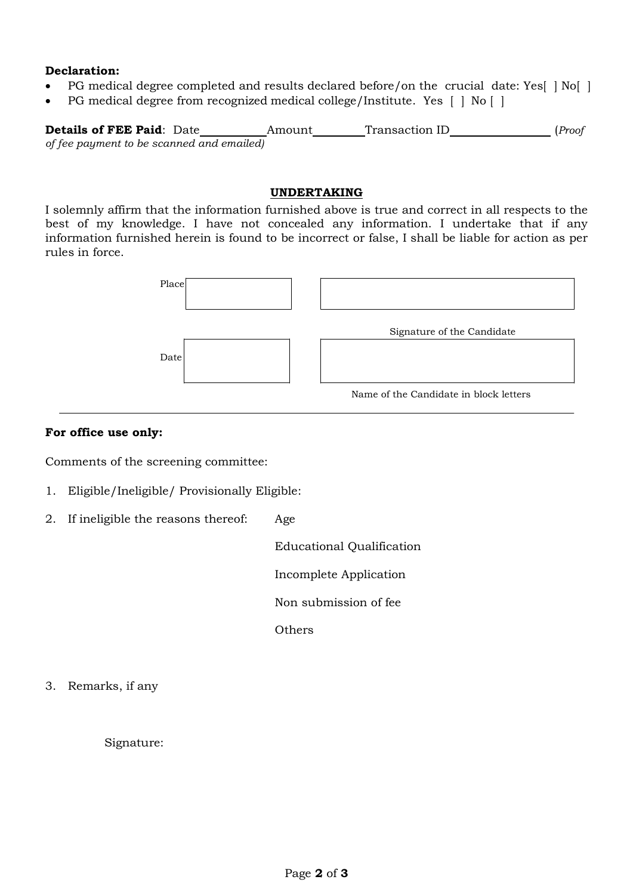#### Declaration:

- PG medical degree completed and results declared before/on the crucial date: Yes[ | No[ |
- PG medical degree from recognized medical college/Institute. Yes [ | No [ ]

**Details of FEE Paid:** Date Amount Transaction ID (Proof of fee payment to be scanned and emailed)

#### UNDERTAKING

I solemnly affirm that the information furnished above is true and correct in all respects to the best of my knowledge. I have not concealed any information. I undertake that if any information furnished herein is found to be incorrect or false, I shall be liable for action as per rules in force.



#### For office use only:

Comments of the screening committee:

- 1. Eligible/Ineligible/ Provisionally Eligible:
- 2. If ineligible the reasons thereof: Age

Educational Qualification

Incomplete Application

Non submission of fee

**Others** 

3. Remarks, if any

Signature: